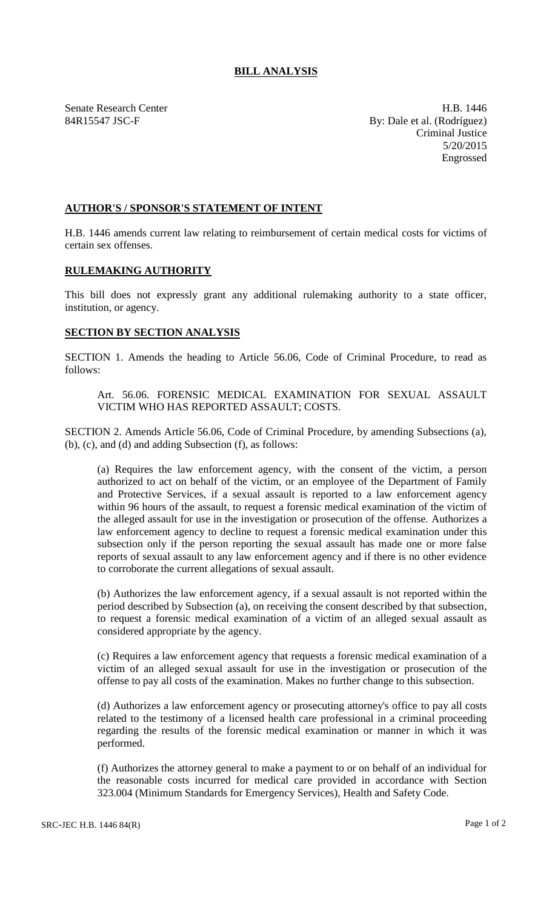## **BILL ANALYSIS**

Senate Research Center **H.B.** 1446 84R15547 JSC-F By: Dale et al. (Rodríguez) Criminal Justice 5/20/2015 Engrossed

## **AUTHOR'S / SPONSOR'S STATEMENT OF INTENT**

H.B. 1446 amends current law relating to reimbursement of certain medical costs for victims of certain sex offenses.

## **RULEMAKING AUTHORITY**

This bill does not expressly grant any additional rulemaking authority to a state officer, institution, or agency.

## **SECTION BY SECTION ANALYSIS**

SECTION 1. Amends the heading to Article 56.06, Code of Criminal Procedure, to read as follows:

Art. 56.06. FORENSIC MEDICAL EXAMINATION FOR SEXUAL ASSAULT VICTIM WHO HAS REPORTED ASSAULT; COSTS.

SECTION 2. Amends Article 56.06, Code of Criminal Procedure, by amending Subsections (a), (b), (c), and (d) and adding Subsection (f), as follows:

(a) Requires the law enforcement agency, with the consent of the victim, a person authorized to act on behalf of the victim, or an employee of the Department of Family and Protective Services, if a sexual assault is reported to a law enforcement agency within 96 hours of the assault, to request a forensic medical examination of the victim of the alleged assault for use in the investigation or prosecution of the offense. Authorizes a law enforcement agency to decline to request a forensic medical examination under this subsection only if the person reporting the sexual assault has made one or more false reports of sexual assault to any law enforcement agency and if there is no other evidence to corroborate the current allegations of sexual assault.

(b) Authorizes the law enforcement agency, if a sexual assault is not reported within the period described by Subsection (a), on receiving the consent described by that subsection, to request a forensic medical examination of a victim of an alleged sexual assault as considered appropriate by the agency.

(c) Requires a law enforcement agency that requests a forensic medical examination of a victim of an alleged sexual assault for use in the investigation or prosecution of the offense to pay all costs of the examination. Makes no further change to this subsection.

(d) Authorizes a law enforcement agency or prosecuting attorney's office to pay all costs related to the testimony of a licensed health care professional in a criminal proceeding regarding the results of the forensic medical examination or manner in which it was performed.

(f) Authorizes the attorney general to make a payment to or on behalf of an individual for the reasonable costs incurred for medical care provided in accordance with Section 323.004 (Minimum Standards for Emergency Services), Health and Safety Code.